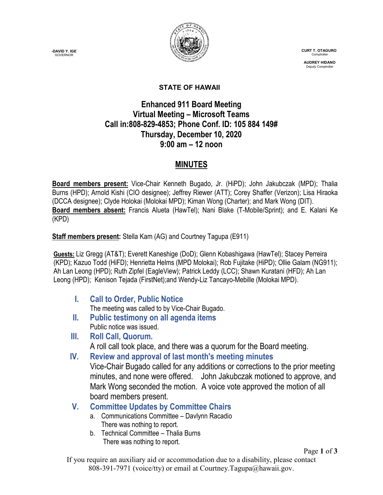**-DAVID Y. IGE GOVERNOR** 



 **CURT T. OTAGURO** Comptrol

 **AUDREY HIDANO** Deputy Comptroll

#### **STATE OF HAWAII**

# **Enhanced 911 Board Meeting Virtual Meeting – Microsoft Teams Call in:808-829-4853; Phone Conf. ID: 105 884 149# Thursday, December 10, 2020 9:00 am – 12 noon**

## **MINUTES**

**Board members present:** Vice-Chair Kenneth Bugado, Jr. (HiPD); John Jakubczak (MPD); Thalia Burns (HPD); Arnold Kishi (CIO designee); Jeffrey Riewer (ATT); Corey Shaffer (Verizon); Lisa Hiraoka (DCCA designee); Clyde Holokai (Molokai MPD); Kiman Wong (Charter); and Mark Wong (DIT). **Board members absent:** Francis Alueta (HawTel); Nani Blake (T-Mobile/Sprint); and E. Kalani Ke (KPD)

#### **Staff members present:** Stella Kam (AG) and Courtney Tagupa (E911)

**Guests:** Liz Gregg (AT&T); Everett Kaneshige (DoD); Glenn Kobashigawa (HawTel); Stacey Perreira (KPD); Kazuo Todd (HiFD); Henrietta Helms (MPD Molokai); Rob Fujitake (HiPD); Ollie Galam (NG911); Ah Lan Leong (HPD); Ruth Zipfel (EagleView); Patrick Leddy (LCC); Shawn Kuratani (HFD); Ah Lan Leong (HPD); Kenison Tejada (FirstNet);and Wendy-Liz Tancayo-Mebille (Molokai MPD).

**I. Call to Order, Public Notice**

The meeting was called to by Vice-Chair Bugado.

- **II. Public testimony on all agenda items** Public notice was issued.
- **III. Roll Call, Quorum.**

A roll call took place, and there was a quorum for the Board meeting.

**IV. Review and approval of last month's meeting minutes**

Vice-Chair Bugado called for any additions or corrections to the prior meeting minutes, and none were offered. John Jakubczak motioned to approve, and Mark Wong seconded the motion. A voice vote approved the motion of all board members present.

- **V. Committee Updates by Committee Chairs**
	- a. Communications Committee Davlynn Racadio There was nothing to report.
	- b. Technical Committee Thalia Burns There was nothing to report.

Page **1** of **3**

If you require an auxiliary aid or accommodation due to a disability, please contact 808-391-7971 (voice/tty) or email at Courtney.Tagupa@hawaii.gov.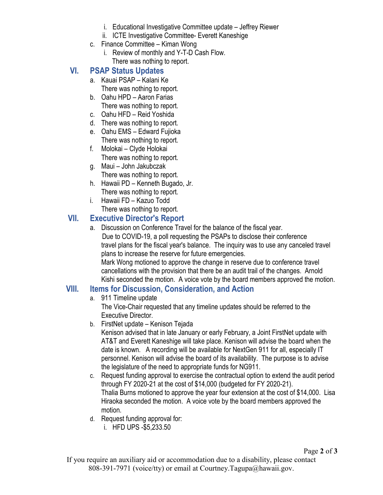- i. Educational Investigative Committee update Jeffrey Riewer
- ii. ICTE Investigative Committee- Everett Kaneshige
- c. Finance Committee Kiman Wong
	- i. Review of monthly and Y-T-D Cash Flow. There was nothing to report.

# **VI. PSAP Status Updates**

- a. Kauai PSAP Kalani Ke
	- There was nothing to report.
- b. Oahu HPD Aaron Farias There was nothing to report.
- c. Oahu HFD Reid Yoshida
- d. There was nothing to report.
- e. Oahu EMS Edward Fujioka There was nothing to report.
- f. Molokai Clyde Holokai There was nothing to report.
- g. Maui John Jakubczak There was nothing to report.
- h. Hawaii PD Kenneth Bugado, Jr. There was nothing to report.
- i. Hawaii FD Kazuo Todd There was nothing to report.

## **VII. Executive Director's Report**

a. Discussion on Conference Travel for the balance of the fiscal year. Due to COVID-19, a poll requesting the PSAPs to disclose their conference travel plans for the fiscal year's balance. The inquiry was to use any canceled travel plans to increase the reserve for future emergencies.

Mark Wong motioned to approve the change in reserve due to conference travel cancellations with the provision that there be an audit trail of the changes. Arnold Kishi seconded the motion. A voice vote by the board members approved the motion.

#### **VIII. Items for Discussion, Consideration, and Action**

a. 911 Timeline update

The Vice-Chair requested that any timeline updates should be referred to the Executive Director.

b. FirstNet update – Kenison Tejada

Kenison advised that in late January or early February, a Joint FirstNet update with AT&T and Everett Kaneshige will take place. Kenison will advise the board when the date is known. A recording will be available for NextGen 911 for all, especially IT personnel. Kenison will advise the board of its availability. The purpose is to advise the legislature of the need to appropriate funds for NG911.

- c. Request funding approval to exercise the contractual option to extend the audit period through FY 2020-21 at the cost of \$14,000 (budgeted for FY 2020-21). Thalia Burns motioned to approve the year four extension at the cost of \$14,000. Lisa Hiraoka seconded the motion. A voice vote by the board members approved the motion.
- d. Request funding approval for:
	- i. HFD UPS -\$5,233.50